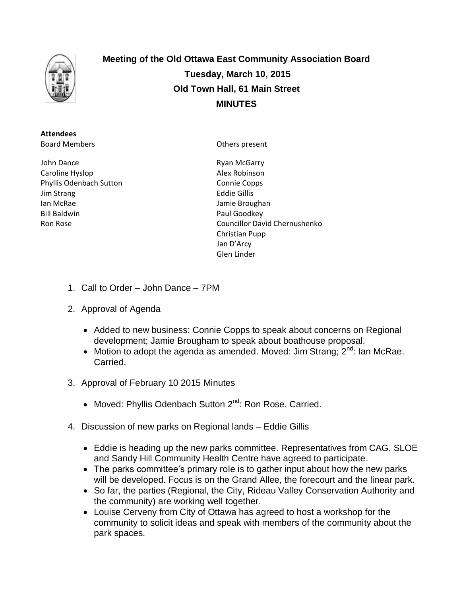

**Meeting of the Old Ottawa East Community Association Board Tuesday, March 10, 2015 Old Town Hall, 61 Main Street MINUTES**

**Attendees** Board Members

John Dance Caroline Hyslop Phyllis Odenbach Sutton Jim Strang Ian McRae Bill Baldwin Ron Rose

Others present

Ryan McGarry Alex Robinson Connie Copps Eddie Gillis Jamie Broughan Paul Goodkey Councillor David Chernushenko Christian Pupp Jan D'Arcy Glen Linder

- 1. Call to Order John Dance 7PM
- 2. Approval of Agenda
	- Added to new business: Connie Copps to speak about concerns on Regional development; Jamie Brougham to speak about boathouse proposal.
	- Motion to adopt the agenda as amended. Moved: Jim Strang;  $2^{nd}$ : Ian McRae. **Carried**
- 3. Approval of February 10 2015 Minutes
	- Moved: Phyllis Odenbach Sutton 2<sup>nd</sup>: Ron Rose. Carried.
- 4. Discussion of new parks on Regional lands Eddie Gillis
	- Eddie is heading up the new parks committee. Representatives from CAG, SLOE and Sandy Hill Community Health Centre have agreed to participate.
	- The parks committee's primary role is to gather input about how the new parks will be developed. Focus is on the Grand Allee, the forecourt and the linear park.
	- So far, the parties (Regional, the City, Rideau Valley Conservation Authority and the community) are working well together.
	- Louise Cerveny from City of Ottawa has agreed to host a workshop for the community to solicit ideas and speak with members of the community about the park spaces.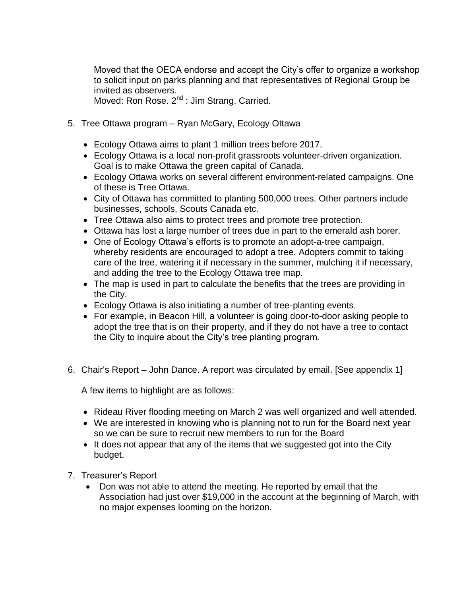Moved that the OECA endorse and accept the City's offer to organize a workshop to solicit input on parks planning and that representatives of Regional Group be invited as observers.

Moved: Ron Rose. 2<sup>nd</sup> : Jim Strang. Carried.

- 5. Tree Ottawa program Ryan McGary, Ecology Ottawa
	- Ecology Ottawa aims to plant 1 million trees before 2017.
	- Ecology Ottawa is a local non-profit grassroots volunteer-driven organization. Goal is to make Ottawa the green capital of Canada.
	- Ecology Ottawa works on several different environment-related campaigns. One of these is Tree Ottawa.
	- City of Ottawa has committed to planting 500,000 trees. Other partners include businesses, schools, Scouts Canada etc.
	- Tree Ottawa also aims to protect trees and promote tree protection.
	- Ottawa has lost a large number of trees due in part to the emerald ash borer.
	- One of Ecology Ottawa's efforts is to promote an adopt-a-tree campaign, whereby residents are encouraged to adopt a tree. Adopters commit to taking care of the tree, watering it if necessary in the summer, mulching it if necessary, and adding the tree to the Ecology Ottawa tree map.
	- The map is used in part to calculate the benefits that the trees are providing in the City.
	- Ecology Ottawa is also initiating a number of tree-planting events.
	- For example, in Beacon Hill, a volunteer is going door-to-door asking people to adopt the tree that is on their property, and if they do not have a tree to contact the City to inquire about the City's tree planting program.
- 6. Chair's Report John Dance. A report was circulated by email. [See appendix 1]

A few items to highlight are as follows:

- Rideau River flooding meeting on March 2 was well organized and well attended.
- We are interested in knowing who is planning not to run for the Board next year so we can be sure to recruit new members to run for the Board
- It does not appear that any of the items that we suggested got into the City budget.
- 7. Treasurer's Report
	- Don was not able to attend the meeting. He reported by email that the Association had just over \$19,000 in the account at the beginning of March, with no major expenses looming on the horizon.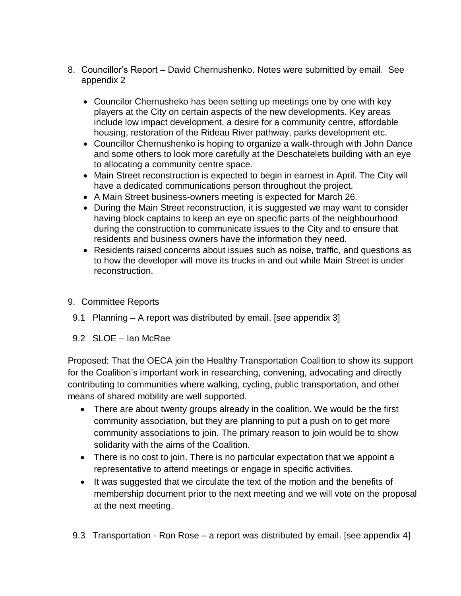- 8. Councillor's Report David Chernushenko. Notes were submitted by email. See appendix 2
	- Councilor Chernusheko has been setting up meetings one by one with key players at the City on certain aspects of the new developments. Key areas include low impact development, a desire for a community centre, affordable housing, restoration of the Rideau River pathway, parks development etc.
	- Councillor Chernushenko is hoping to organize a walk-through with John Dance and some others to look more carefully at the Deschatelets building with an eye to allocating a community centre space.
	- Main Street reconstruction is expected to begin in earnest in April. The City will have a dedicated communications person throughout the project.
	- A Main Street business-owners meeting is expected for March 26.
	- During the Main Street reconstruction, it is suggested we may want to consider having block captains to keep an eye on specific parts of the neighbourhood during the construction to communicate issues to the City and to ensure that residents and business owners have the information they need.
	- Residents raised concerns about issues such as noise, traffic, and questions as to how the developer will move its trucks in and out while Main Street is under reconstruction.
- 9. Committee Reports
- 9.1 Planning A report was distributed by email. [see appendix 3]
- 9.2 SLOE Ian McRae

Proposed: That the OECA join the Healthy Transportation Coalition to show its support for the Coalition's important work in researching, convening, advocating and directly contributing to communities where walking, cycling, public transportation, and other means of shared mobility are well supported.

- There are about twenty groups already in the coalition. We would be the first community association, but they are planning to put a push on to get more community associations to join. The primary reason to join would be to show solidarity with the aims of the Coalition.
- There is no cost to join. There is no particular expectation that we appoint a representative to attend meetings or engage in specific activities.
- It was suggested that we circulate the text of the motion and the benefits of membership document prior to the next meeting and we will vote on the proposal at the next meeting.
- 9.3 Transportation Ron Rose a report was distributed by email. [see appendix 4]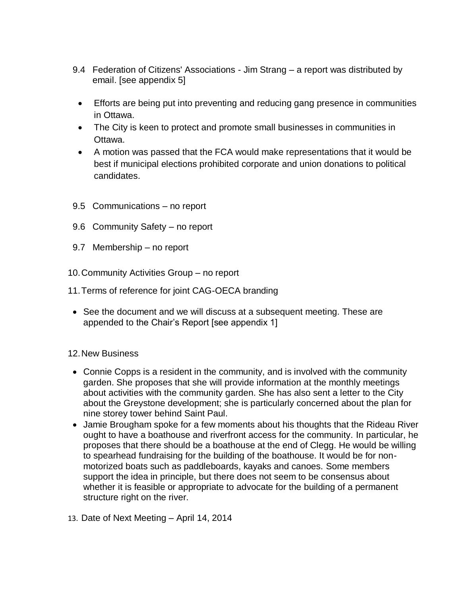- 9.4 Federation of Citizens' Associations Jim Strang a report was distributed by email. [see appendix 5]
	- Efforts are being put into preventing and reducing gang presence in communities in Ottawa.
	- The City is keen to protect and promote small businesses in communities in Ottawa.
	- A motion was passed that the FCA would make representations that it would be best if municipal elections prohibited corporate and union donations to political candidates.
- 9.5 Communications no report
- 9.6 Community Safety no report
- 9.7 Membership no report
- 10.Community Activities Group no report
- 11.Terms of reference for joint CAG-OECA branding
- See the document and we will discuss at a subsequent meeting. These are appended to the Chair's Report [see appendix 1]

# 12.New Business

- Connie Copps is a resident in the community, and is involved with the community garden. She proposes that she will provide information at the monthly meetings about activities with the community garden. She has also sent a letter to the City about the Greystone development; she is particularly concerned about the plan for nine storey tower behind Saint Paul.
- Jamie Brougham spoke for a few moments about his thoughts that the Rideau River ought to have a boathouse and riverfront access for the community. In particular, he proposes that there should be a boathouse at the end of Clegg. He would be willing to spearhead fundraising for the building of the boathouse. It would be for nonmotorized boats such as paddleboards, kayaks and canoes. Some members support the idea in principle, but there does not seem to be consensus about whether it is feasible or appropriate to advocate for the building of a permanent structure right on the river.
- 13. Date of Next Meeting April 14, 2014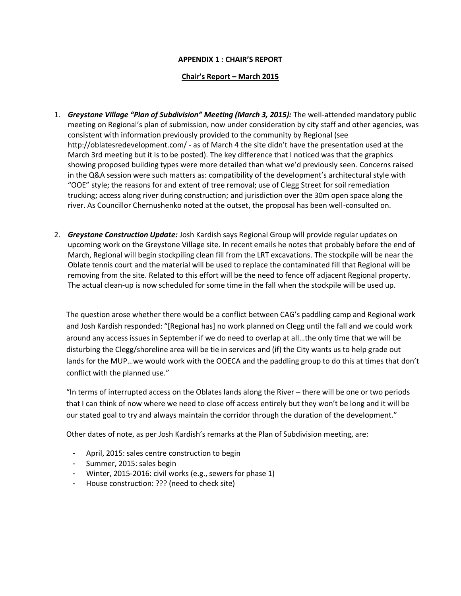### **APPENDIX 1 : CHAIR'S REPORT**

#### **Chair's Report – March 2015**

- 1. *Greystone Village "Plan of Subdivision" Meeting (March 3, 2015):* The well-attended mandatory public meeting on Regional's plan of submission, now under consideration by city staff and other agencies, was consistent with information previously provided to the community by Regional (see http://oblatesredevelopment.com/ - as of March 4 the site didn't have the presentation used at the March 3rd meeting but it is to be posted). The key difference that I noticed was that the graphics showing proposed building types were more detailed than what we'd previously seen. Concerns raised in the Q&A session were such matters as: compatibility of the development's architectural style with "OOE" style; the reasons for and extent of tree removal; use of Clegg Street for soil remediation trucking; access along river during construction; and jurisdiction over the 30m open space along the river. As Councillor Chernushenko noted at the outset, the proposal has been well-consulted on.
- 2. *Greystone Construction Update:* Josh Kardish says Regional Group will provide regular updates on upcoming work on the Greystone Village site. In recent emails he notes that probably before the end of March, Regional will begin stockpiling clean fill from the LRT excavations. The stockpile will be near the Oblate tennis court and the material will be used to replace the contaminated fill that Regional will be removing from the site. Related to this effort will be the need to fence off adjacent Regional property. The actual clean-up is now scheduled for some time in the fall when the stockpile will be used up.

The question arose whether there would be a conflict between CAG's paddling camp and Regional work and Josh Kardish responded: "[Regional has] no work planned on Clegg until the fall and we could work around any access issues in September if we do need to overlap at all…the only time that we will be disturbing the Clegg/shoreline area will be tie in services and (if) the City wants us to help grade out lands for the MUP…we would work with the OOECA and the paddling group to do this at times that don't conflict with the planned use."

"In terms of interrupted access on the Oblates lands along the River – there will be one or two periods that I can think of now where we need to close off access entirely but they won't be long and it will be our stated goal to try and always maintain the corridor through the duration of the development."

Other dates of note, as per Josh Kardish's remarks at the Plan of Subdivision meeting, are:

- April, 2015: sales centre construction to begin
- Summer, 2015: sales begin
- Winter, 2015-2016: civil works (e.g., sewers for phase 1)
- House construction: ??? (need to check site)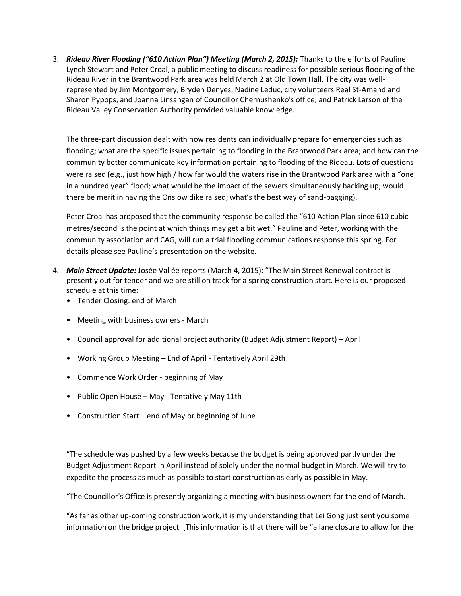3. *Rideau River Flooding ("610 Action Plan") Meeting (March 2, 2015):* Thanks to the efforts of Pauline Lynch Stewart and Peter Croal, a public meeting to discuss readiness for possible serious flooding of the Rideau River in the Brantwood Park area was held March 2 at Old Town Hall. The city was wellrepresented by Jim Montgomery, Bryden Denyes, Nadine Leduc, city volunteers Real St-Amand and Sharon Pypops, and Joanna Linsangan of Councillor Chernushenko's office; and Patrick Larson of the Rideau Valley Conservation Authority provided valuable knowledge.

The three-part discussion dealt with how residents can individually prepare for emergencies such as flooding; what are the specific issues pertaining to flooding in the Brantwood Park area; and how can the community better communicate key information pertaining to flooding of the Rideau. Lots of questions were raised (e.g., just how high / how far would the waters rise in the Brantwood Park area with a "one in a hundred year" flood; what would be the impact of the sewers simultaneously backing up; would there be merit in having the Onslow dike raised; what's the best way of sand-bagging).

Peter Croal has proposed that the community response be called the "610 Action Plan since 610 cubic metres/second is the point at which things may get a bit wet." Pauline and Peter, working with the community association and CAG, will run a trial flooding communications response this spring. For details please see Pauline's presentation on the website.

- 4. *Main Street Update:* Josée Vallée reports (March 4, 2015): "The Main Street Renewal contract is presently out for tender and we are still on track for a spring construction start. Here is our proposed schedule at this time:
	- Tender Closing: end of March
	- Meeting with business owners March
	- Council approval for additional project authority (Budget Adjustment Report) April
	- Working Group Meeting End of April Tentatively April 29th
	- Commence Work Order beginning of May
	- Public Open House May Tentatively May 11th
	- Construction Start end of May or beginning of June

"The schedule was pushed by a few weeks because the budget is being approved partly under the Budget Adjustment Report in April instead of solely under the normal budget in March. We will try to expedite the process as much as possible to start construction as early as possible in May.

"The Councillor's Office is presently organizing a meeting with business owners for the end of March.

"As far as other up-coming construction work, it is my understanding that Lei Gong just sent you some information on the bridge project. [This information is that there will be "a lane closure to allow for the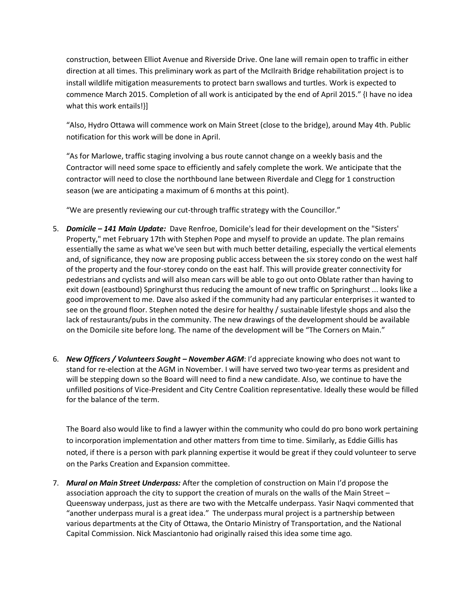construction, between Elliot Avenue and Riverside Drive. One lane will remain open to traffic in either direction at all times. This preliminary work as part of the McIlraith Bridge rehabilitation project is to install wildlife mitigation measurements to protect barn swallows and turtles. Work is expected to commence March 2015. Completion of all work is anticipated by the end of April 2015." {I have no idea what this work entails!}]

"Also, Hydro Ottawa will commence work on Main Street (close to the bridge), around May 4th. Public notification for this work will be done in April.

"As for Marlowe, traffic staging involving a bus route cannot change on a weekly basis and the Contractor will need some space to efficiently and safely complete the work. We anticipate that the contractor will need to close the northbound lane between Riverdale and Clegg for 1 construction season (we are anticipating a maximum of 6 months at this point).

"We are presently reviewing our cut-through traffic strategy with the Councillor."

- 5. *Domicile – 141 Main Update:* Dave Renfroe, Domicile's lead for their development on the "Sisters' Property," met February 17th with Stephen Pope and myself to provide an update. The plan remains essentially the same as what we've seen but with much better detailing, especially the vertical elements and, of significance, they now are proposing public access between the six storey condo on the west half of the property and the four-storey condo on the east half. This will provide greater connectivity for pedestrians and cyclists and will also mean cars will be able to go out onto Oblate rather than having to exit down (eastbound) Springhurst thus reducing the amount of new traffic on Springhurst ... looks like a good improvement to me. Dave also asked if the community had any particular enterprises it wanted to see on the ground floor. Stephen noted the desire for healthy / sustainable lifestyle shops and also the lack of restaurants/pubs in the community. The new drawings of the development should be available on the Domicile site before long. The name of the development will be "The Corners on Main."
- 6. *New Officers / Volunteers Sought – November AGM*: I'd appreciate knowing who does not want to stand for re-election at the AGM in November. I will have served two two-year terms as president and will be stepping down so the Board will need to find a new candidate. Also, we continue to have the unfilled positions of Vice-President and City Centre Coalition representative. Ideally these would be filled for the balance of the term.

The Board also would like to find a lawyer within the community who could do pro bono work pertaining to incorporation implementation and other matters from time to time. Similarly, as Eddie Gillis has noted, if there is a person with park planning expertise it would be great if they could volunteer to serve on the Parks Creation and Expansion committee.

7. *Mural on Main Street Underpass:* After the completion of construction on Main I'd propose the association approach the city to support the creation of murals on the walls of the Main Street – Queensway underpass, just as there are two with the Metcalfe underpass. Yasir Naqvi commented that "another underpass mural is a great idea." The underpass mural project is a partnership between various departments at the City of Ottawa, the Ontario Ministry of Transportation, and the National Capital Commission. Nick Masciantonio had originally raised this idea some time ago.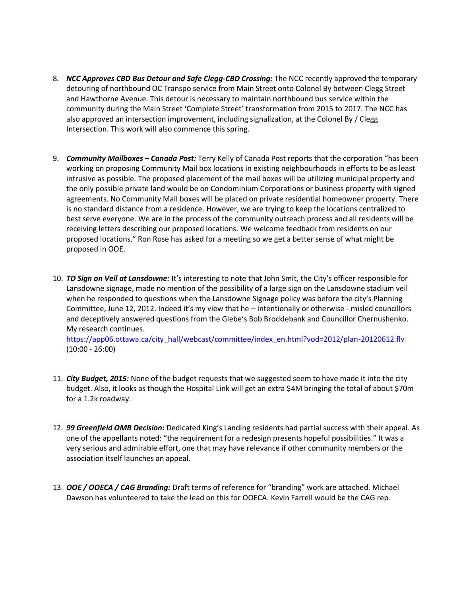- 8. *NCC Approves CBD Bus Detour and Safe Clegg-CBD Crossing:* The NCC recently approved the temporary detouring of northbound OC Transpo service from Main Street onto Colonel By between Clegg Street and Hawthorne Avenue. This detour is necessary to maintain northbound bus service within the community during the Main Street 'Complete Street' transformation from 2015 to 2017. The NCC has also approved an intersection improvement, including signalization, at the Colonel By / Clegg Intersection. This work will also commence this spring.
- 9. *Community Mailboxes – Canada Post:* Terry Kelly of Canada Post reports that the corporation "has been working on proposing Community Mail box locations in existing neighbourhoods in efforts to be as least intrusive as possible. The proposed placement of the mail boxes will be utilizing municipal property and the only possible private land would be on Condominium Corporations or business property with signed agreements. No Community Mail boxes will be placed on private residential homeowner property. There is no standard distance from a residence. However, we are trying to keep the locations centralized to best serve everyone. We are in the process of the community outreach process and all residents will be receiving letters describing our proposed locations. We welcome feedback from residents on our proposed locations." Ron Rose has asked for a meeting so we get a better sense of what might be proposed in OOE.
- 10. *TD Sign on Veil at Lansdowne:* It's interesting to note that John Smit, the City's officer responsible for Lansdowne signage, made no mention of the possibility of a large sign on the Lansdowne stadium veil when he responded to questions when the Lansdowne Signage policy was before the city's Planning Committee, June 12, 2012. Indeed it's my view that he – intentionally or otherwise - misled councillors and deceptively answered questions from the Glebe's Bob Brocklebank and Councillor Chernushenko. My research continues.

[https://app06.ottawa.ca/city\\_hall/webcast/committee/index\\_en.html?vod=2012/plan-20120612.flv](https://app06.ottawa.ca/city_hall/webcast/committee/index_en.html?vod=2012/plan-20120612.flv) (10:00 - 26:00)

- 11. *City Budget, 2015:* None of the budget requests that we suggested seem to have made it into the city budget. Also, it looks as though the Hospital Link will get an extra \$4M bringing the total of about \$70m for a 1.2k roadway.
- 12. *99 Greenfield OMB Decision:* Dedicated King's Landing residents had partial success with their appeal. As one of the appellants noted: "the requirement for a redesign presents hopeful possibilities." It was a very serious and admirable effort, one that may have relevance if other community members or the association itself launches an appeal.
- 13. *OOE / OOECA / CAG Branding:* Draft terms of reference for "branding" work are attached. Michael Dawson has volunteered to take the lead on this for OOECA. Kevin Farrell would be the CAG rep.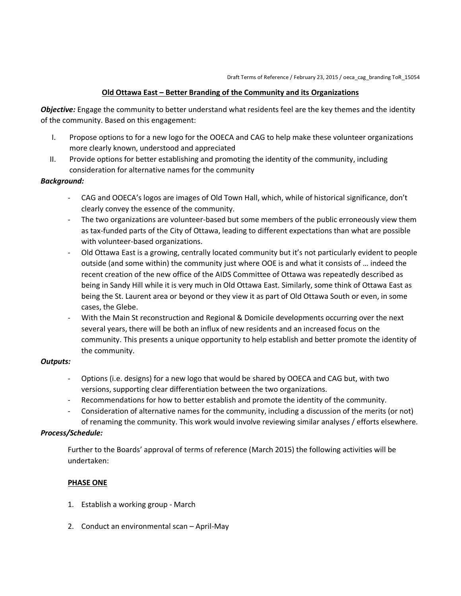### **Old Ottawa East – Better Branding of the Community and its Organizations**

*Objective:* Engage the community to better understand what residents feel are the key themes and the identity of the community. Based on this engagement:

- I. Propose options to for a new logo for the OOECA and CAG to help make these volunteer organizations more clearly known, understood and appreciated
- II. Provide options for better establishing and promoting the identity of the community, including consideration for alternative names for the community

#### *Background:*

- CAG and OOECA's logos are images of Old Town Hall, which, while of historical significance, don't clearly convey the essence of the community.
- The two organizations are volunteer-based but some members of the public erroneously view them as tax-funded parts of the City of Ottawa, leading to different expectations than what are possible with volunteer-based organizations.
- Old Ottawa East is a growing, centrally located community but it's not particularly evident to people outside (and some within) the community just where OOE is and what it consists of … indeed the recent creation of the new office of the AIDS Committee of Ottawa was repeatedly described as being in Sandy Hill while it is very much in Old Ottawa East. Similarly, some think of Ottawa East as being the St. Laurent area or beyond or they view it as part of Old Ottawa South or even, in some cases, the Glebe.
- With the Main St reconstruction and Regional & Domicile developments occurring over the next several years, there will be both an influx of new residents and an increased focus on the community. This presents a unique opportunity to help establish and better promote the identity of the community.

#### *Outputs:*

- Options (i.e. designs) for a new logo that would be shared by OOECA and CAG but, with two versions, supporting clear differentiation between the two organizations.
- Recommendations for how to better establish and promote the identity of the community.
- Consideration of alternative names for the community, including a discussion of the merits (or not) of renaming the community. This work would involve reviewing similar analyses / efforts elsewhere.

#### *Process/Schedule:*

Further to the Boards' approval of terms of reference (March 2015) the following activities will be undertaken:

#### **PHASE ONE**

- 1. Establish a working group March
- 2. Conduct an environmental scan April-May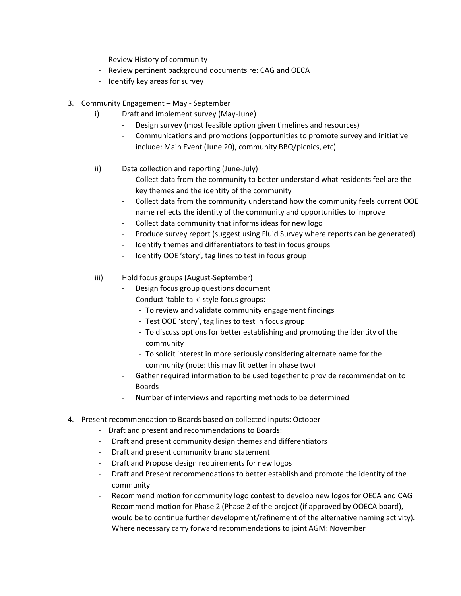- Review History of community
- Review pertinent background documents re: CAG and OECA
- Identify key areas for survey
- 3. Community Engagement May September
	- i) Draft and implement survey (May-June)
		- Design survey (most feasible option given timelines and resources)
		- Communications and promotions (opportunities to promote survey and initiative include: Main Event (June 20), community BBQ/picnics, etc)
	- ii) Data collection and reporting (June-July)
		- Collect data from the community to better understand what residents feel are the key themes and the identity of the community
		- Collect data from the community understand how the community feels current OOE name reflects the identity of the community and opportunities to improve
		- Collect data community that informs ideas for new logo
		- Produce survey report (suggest using Fluid Survey where reports can be generated)
		- Identify themes and differentiators to test in focus groups
		- Identify OOE 'story', tag lines to test in focus group
	- iii) Hold focus groups (August-September)
		- Design focus group questions document
		- Conduct 'table talk' style focus groups:
			- To review and validate community engagement findings
			- Test OOE 'story', tag lines to test in focus group
			- To discuss options for better establishing and promoting the identity of the community
			- To solicit interest in more seriously considering alternate name for the community (note: this may fit better in phase two)
		- Gather required information to be used together to provide recommendation to Boards
		- Number of interviews and reporting methods to be determined
- 4. Present recommendation to Boards based on collected inputs: October
	- Draft and present and recommendations to Boards:
	- Draft and present community design themes and differentiators
	- Draft and present community brand statement
	- Draft and Propose design requirements for new logos
	- Draft and Present recommendations to better establish and promote the identity of the community
	- Recommend motion for community logo contest to develop new logos for OECA and CAG
	- Recommend motion for Phase 2 (Phase 2 of the project (if approved by OOECA board), would be to continue further development/refinement of the alternative naming activity). Where necessary carry forward recommendations to joint AGM: November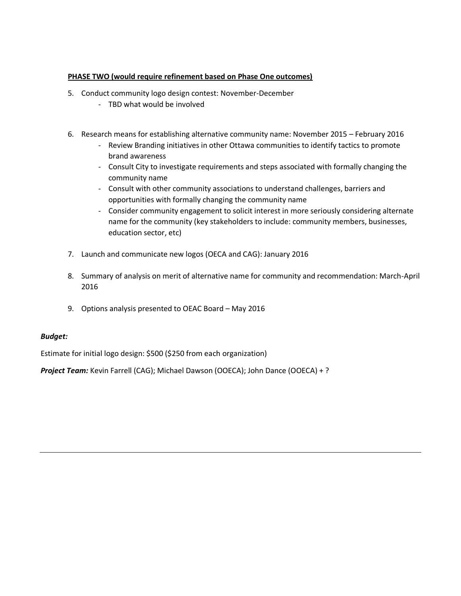### **PHASE TWO (would require refinement based on Phase One outcomes)**

- 5. Conduct community logo design contest: November-December
	- TBD what would be involved
- 6. Research means for establishing alternative community name: November 2015 February 2016
	- Review Branding initiatives in other Ottawa communities to identify tactics to promote brand awareness
	- Consult City to investigate requirements and steps associated with formally changing the community name
	- Consult with other community associations to understand challenges, barriers and opportunities with formally changing the community name
	- Consider community engagement to solicit interest in more seriously considering alternate name for the community (key stakeholders to include: community members, businesses, education sector, etc)
- 7. Launch and communicate new logos (OECA and CAG): January 2016
- 8. Summary of analysis on merit of alternative name for community and recommendation: March-April 2016
- 9. Options analysis presented to OEAC Board May 2016

### *Budget:*

Estimate for initial logo design: \$500 (\$250 from each organization)

*Project Team:* Kevin Farrell (CAG); Michael Dawson (OOECA); John Dance (OOECA) + ?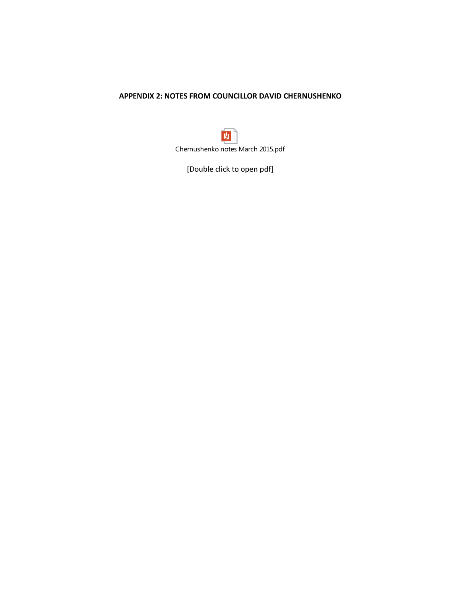### **APPENDIX 2: NOTES FROM COUNCILLOR DAVID CHERNUSHENKO**

И Chernushenko notes March 2015.pdf

[Double click to open pdf]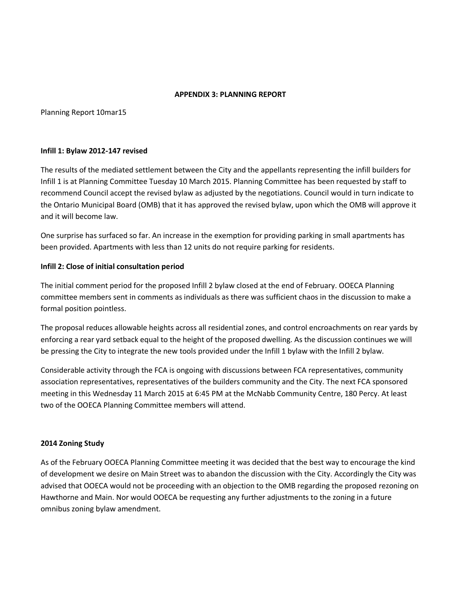#### **APPENDIX 3: PLANNING REPORT**

Planning Report 10mar15

#### **Infill 1: Bylaw 2012-147 revised**

The results of the mediated settlement between the City and the appellants representing the infill builders for Infill 1 is at Planning Committee Tuesday 10 March 2015. Planning Committee has been requested by staff to recommend Council accept the revised bylaw as adjusted by the negotiations. Council would in turn indicate to the Ontario Municipal Board (OMB) that it has approved the revised bylaw, upon which the OMB will approve it and it will become law.

One surprise has surfaced so far. An increase in the exemption for providing parking in small apartments has been provided. Apartments with less than 12 units do not require parking for residents.

#### **Infill 2: Close of initial consultation period**

The initial comment period for the proposed Infill 2 bylaw closed at the end of February. OOECA Planning committee members sent in comments as individuals as there was sufficient chaos in the discussion to make a formal position pointless.

The proposal reduces allowable heights across all residential zones, and control encroachments on rear yards by enforcing a rear yard setback equal to the height of the proposed dwelling. As the discussion continues we will be pressing the City to integrate the new tools provided under the Infill 1 bylaw with the Infill 2 bylaw.

Considerable activity through the FCA is ongoing with discussions between FCA representatives, community association representatives, representatives of the builders community and the City. The next FCA sponsored meeting in this Wednesday 11 March 2015 at 6:45 PM at the McNabb Community Centre, 180 Percy. At least two of the OOECA Planning Committee members will attend.

#### **2014 Zoning Study**

As of the February OOECA Planning Committee meeting it was decided that the best way to encourage the kind of development we desire on Main Street was to abandon the discussion with the City. Accordingly the City was advised that OOECA would not be proceeding with an objection to the OMB regarding the proposed rezoning on Hawthorne and Main. Nor would OOECA be requesting any further adjustments to the zoning in a future omnibus zoning bylaw amendment.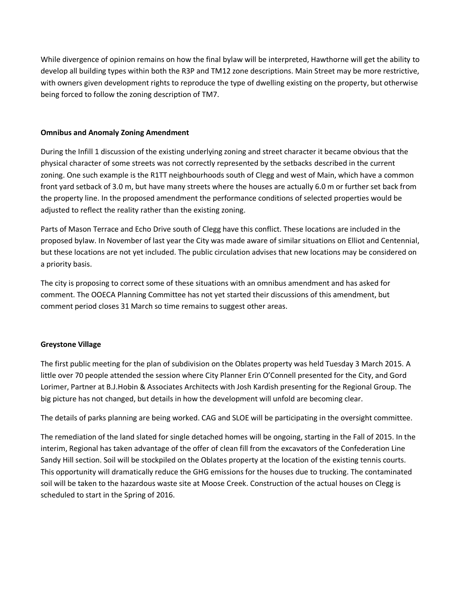While divergence of opinion remains on how the final bylaw will be interpreted, Hawthorne will get the ability to develop all building types within both the R3P and TM12 zone descriptions. Main Street may be more restrictive, with owners given development rights to reproduce the type of dwelling existing on the property, but otherwise being forced to follow the zoning description of TM7.

### **Omnibus and Anomaly Zoning Amendment**

During the Infill 1 discussion of the existing underlying zoning and street character it became obvious that the physical character of some streets was not correctly represented by the setbacks described in the current zoning. One such example is the R1TT neighbourhoods south of Clegg and west of Main, which have a common front yard setback of 3.0 m, but have many streets where the houses are actually 6.0 m or further set back from the property line. In the proposed amendment the performance conditions of selected properties would be adjusted to reflect the reality rather than the existing zoning.

Parts of Mason Terrace and Echo Drive south of Clegg have this conflict. These locations are included in the proposed bylaw. In November of last year the City was made aware of similar situations on Elliot and Centennial, but these locations are not yet included. The public circulation advises that new locations may be considered on a priority basis.

The city is proposing to correct some of these situations with an omnibus amendment and has asked for comment. The OOECA Planning Committee has not yet started their discussions of this amendment, but comment period closes 31 March so time remains to suggest other areas.

## **Greystone Village**

The first public meeting for the plan of subdivision on the Oblates property was held Tuesday 3 March 2015. A little over 70 people attended the session where City Planner Erin O'Connell presented for the City, and Gord Lorimer, Partner at B.J.Hobin & Associates Architects with Josh Kardish presenting for the Regional Group. The big picture has not changed, but details in how the development will unfold are becoming clear.

The details of parks planning are being worked. CAG and SLOE will be participating in the oversight committee.

The remediation of the land slated for single detached homes will be ongoing, starting in the Fall of 2015. In the interim, Regional has taken advantage of the offer of clean fill from the excavators of the Confederation Line Sandy Hill section. Soil will be stockpiled on the Oblates property at the location of the existing tennis courts. This opportunity will dramatically reduce the GHG emissions for the houses due to trucking. The contaminated soil will be taken to the hazardous waste site at Moose Creek. Construction of the actual houses on Clegg is scheduled to start in the Spring of 2016.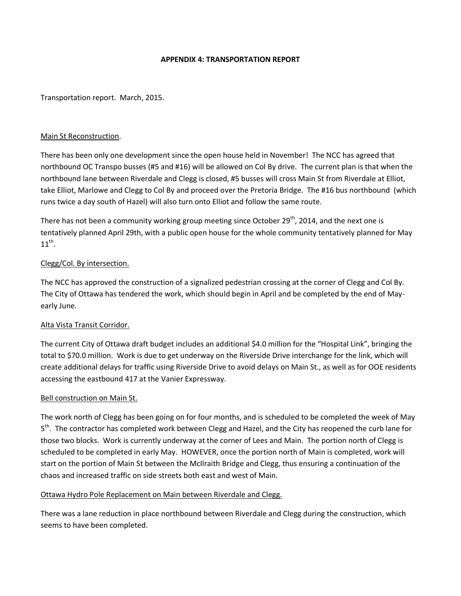#### **APPENDIX 4: TRANSPORTATION REPORT**

#### Transportation report. March, 2015.

#### Main St Reconstruction.

There has been only one development since the open house held in November! The NCC has agreed that northbound OC Transpo busses (#5 and #16) will be allowed on Col By drive. The current plan is that when the northbound lane between Riverdale and Clegg is closed, #5 busses will cross Main St from Riverdale at Elliot, take Elliot, Marlowe and Clegg to Col By and proceed over the Pretoria Bridge. The #16 bus northbound (which runs twice a day south of Hazel) will also turn onto Elliot and follow the same route.

There has not been a community working group meeting since October 29<sup>th</sup>, 2014, and the next one is tentatively planned April 29th, with a public open house for the whole community tentatively planned for May  $11^{\text{th}}$ .

#### Clegg/Col. By intersection.

The NCC has approved the construction of a signalized pedestrian crossing at the corner of Clegg and Col By. The City of Ottawa has tendered the work, which should begin in April and be completed by the end of Mayearly June.

#### Alta Vista Transit Corridor.

The current City of Ottawa draft budget includes an additional \$4.0 million for the "Hospital Link", bringing the total to \$70.0 million. Work is due to get underway on the Riverside Drive interchange for the link, which will create additional delays for traffic using Riverside Drive to avoid delays on Main St., as well as for OOE residents accessing the eastbound 417 at the Vanier Expressway.

#### Bell construction on Main St.

The work north of Clegg has been going on for four months, and is scheduled to be completed the week of May 5<sup>th</sup>. The contractor has completed work between Clegg and Hazel, and the City has reopened the curb lane for those two blocks. Work is currently underway at the corner of Lees and Main. The portion north of Clegg is scheduled to be completed in early May. HOWEVER, once the portion north of Main is completed, work will start on the portion of Main St between the McIlraith Bridge and Clegg, thus ensuring a continuation of the chaos and increased traffic on side streets both east and west of Main.

#### Ottawa Hydro Pole Replacement on Main between Riverdale and Clegg.

There was a lane reduction in place northbound between Riverdale and Clegg during the construction, which seems to have been completed.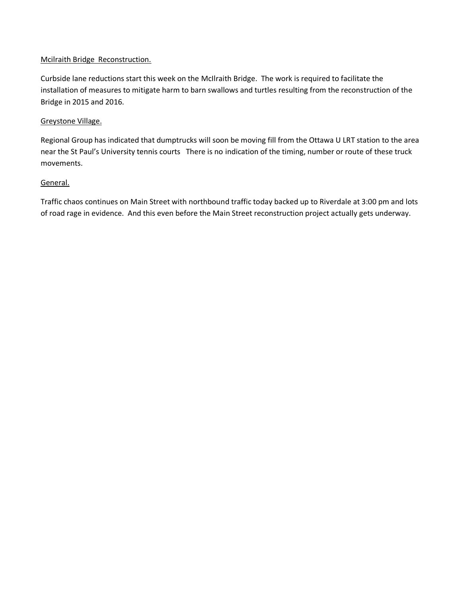### Mcilraith Bridge Reconstruction.

Curbside lane reductions start this week on the McIlraith Bridge. The work is required to facilitate the installation of measures to mitigate harm to barn swallows and turtles resulting from the reconstruction of the Bridge in 2015 and 2016.

### Greystone Village.

Regional Group has indicated that dumptrucks will soon be moving fill from the Ottawa U LRT station to the area near the St Paul's University tennis courts There is no indication of the timing, number or route of these truck movements.

### General.

Traffic chaos continues on Main Street with northbound traffic today backed up to Riverdale at 3:00 pm and lots of road rage in evidence. And this even before the Main Street reconstruction project actually gets underway.